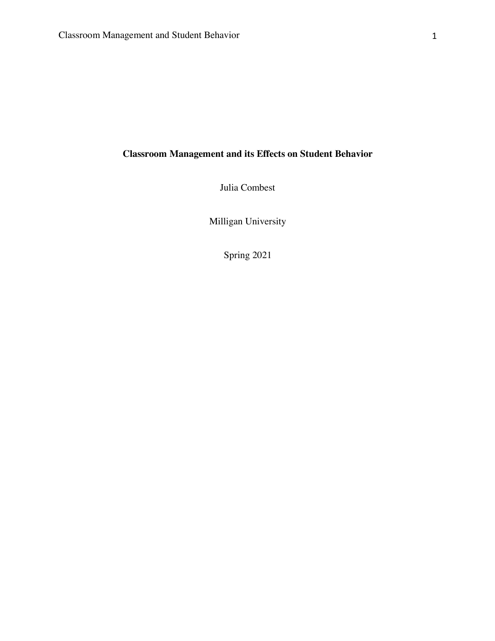# **Classroom Management and its Effects on Student Behavior**

Julia Combest

Milligan University

Spring 2021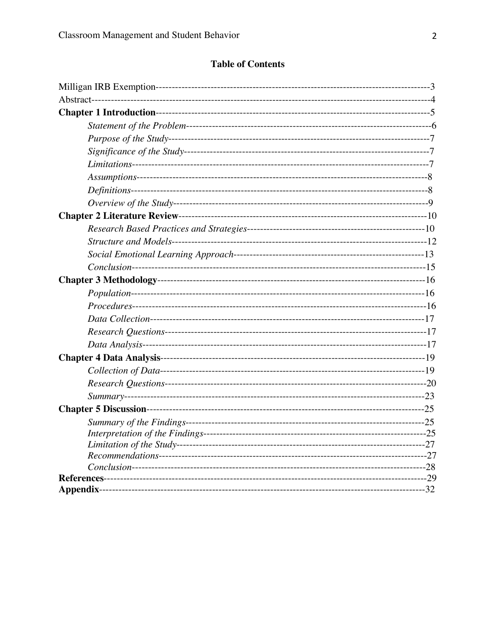# **Table of Contents**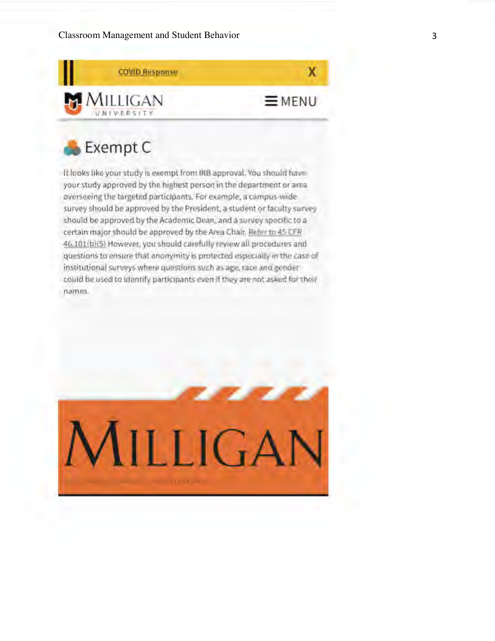

# **A Exempt C**

It looks like your study is exempt from IRB approval. You should have your study approved by the highest person in the department or area **overseeing the targeted participants. For example, a campus•wide**  survey should be approved by the President, a student or faculty survey **should be approved by the Academic Dean, and a survey specifac to a**  certain major should be approved by the Area Chair. Refer to 45 CFR 46.101(b)(5) However, you should carefully review all procedures and **questions to ensure that anonymity is protected especially in the case of institutional surveys where questions such as age, race and gender**  could be used to identify participants even if they are not asked for their **names.** 

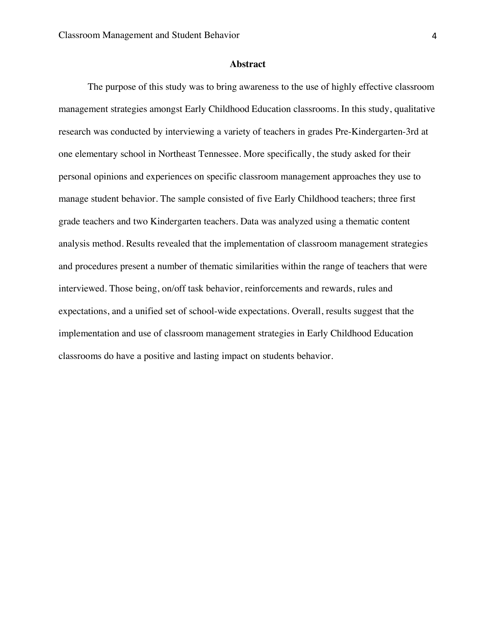### **Abstract**

The purpose of this study was to bring awareness to the use of highly effective classroom management strategies amongst Early Childhood Education classrooms. In this study, qualitative research was conducted by interviewing a variety of teachers in grades Pre-Kindergarten-3rd at one elementary school in Northeast Tennessee. More specifically, the study asked for their personal opinions and experiences on specific classroom management approaches they use to manage student behavior. The sample consisted of five Early Childhood teachers; three first grade teachers and two Kindergarten teachers. Data was analyzed using a thematic content analysis method. Results revealed that the implementation of classroom management strategies and procedures present a number of thematic similarities within the range of teachers that were interviewed. Those being, on/off task behavior, reinforcements and rewards, rules and expectations, and a unified set of school-wide expectations. Overall, results suggest that the implementation and use of classroom management strategies in Early Childhood Education classrooms do have a positive and lasting impact on students behavior.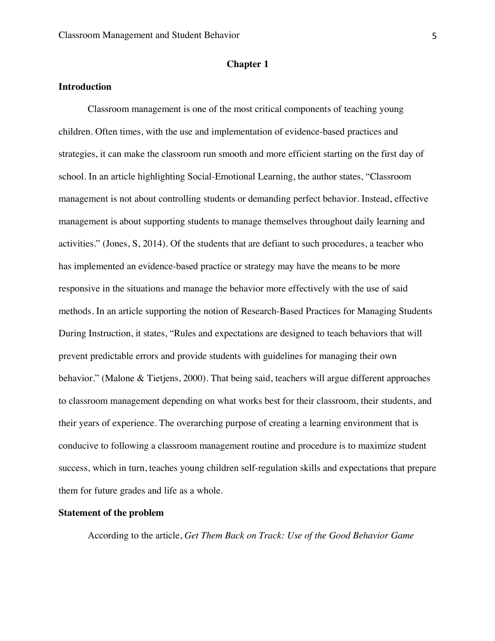### **Chapter 1**

### **Introduction**

Classroom management is one of the most critical components of teaching young children. Often times, with the use and implementation of evidence-based practices and strategies, it can make the classroom run smooth and more efficient starting on the first day of school. In an article highlighting Social-Emotional Learning, the author states, "Classroom management is not about controlling students or demanding perfect behavior. Instead, effective management is about supporting students to manage themselves throughout daily learning and activities." (Jones, S, 2014). Of the students that are defiant to such procedures, a teacher who has implemented an evidence-based practice or strategy may have the means to be more responsive in the situations and manage the behavior more effectively with the use of said methods. In an article supporting the notion of Research-Based Practices for Managing Students During Instruction, it states, "Rules and expectations are designed to teach behaviors that will prevent predictable errors and provide students with guidelines for managing their own behavior." (Malone & Tietjens, 2000). That being said, teachers will argue different approaches to classroom management depending on what works best for their classroom, their students, and their years of experience. The overarching purpose of creating a learning environment that is conducive to following a classroom management routine and procedure is to maximize student success, which in turn, teaches young children self-regulation skills and expectations that prepare them for future grades and life as a whole.

### **Statement of the problem**

According to the article, *Get Them Back on Track: Use of the Good Behavior Game*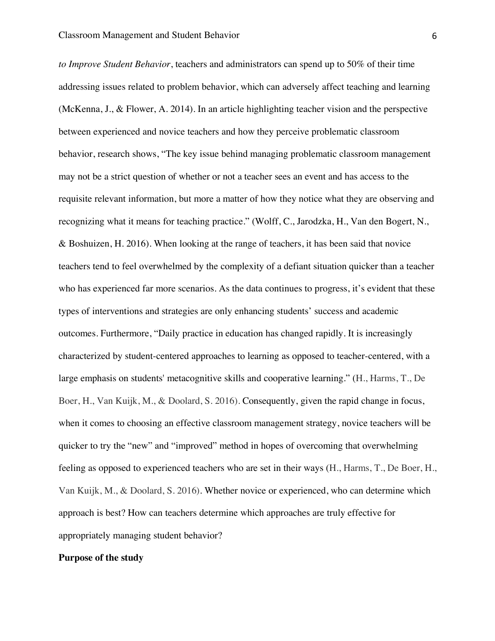*to Improve Student Behavior*, teachers and administrators can spend up to 50% of their time addressing issues related to problem behavior, which can adversely affect teaching and learning (McKenna, J., & Flower, A. 2014). In an article highlighting teacher vision and the perspective between experienced and novice teachers and how they perceive problematic classroom behavior, research shows, "The key issue behind managing problematic classroom management may not be a strict question of whether or not a teacher sees an event and has access to the requisite relevant information, but more a matter of how they notice what they are observing and recognizing what it means for teaching practice." (Wolff, C., Jarodzka, H., Van den Bogert, N., & Boshuizen, H. 2016). When looking at the range of teachers, it has been said that novice teachers tend to feel overwhelmed by the complexity of a defiant situation quicker than a teacher who has experienced far more scenarios. As the data continues to progress, it's evident that these types of interventions and strategies are only enhancing students' success and academic outcomes. Furthermore, "Daily practice in education has changed rapidly. It is increasingly characterized by student-centered approaches to learning as opposed to teacher-centered, with a large emphasis on students' metacognitive skills and cooperative learning." (H., Harms, T., De Boer, H., Van Kuijk, M., & Doolard, S. 2016). Consequently, given the rapid change in focus, when it comes to choosing an effective classroom management strategy, novice teachers will be quicker to try the "new" and "improved" method in hopes of overcoming that overwhelming feeling as opposed to experienced teachers who are set in their ways (H., Harms, T., De Boer, H., Van Kuijk, M., & Doolard, S. 2016). Whether novice or experienced, who can determine which approach is best? How can teachers determine which approaches are truly effective for appropriately managing student behavior?

### **Purpose of the study**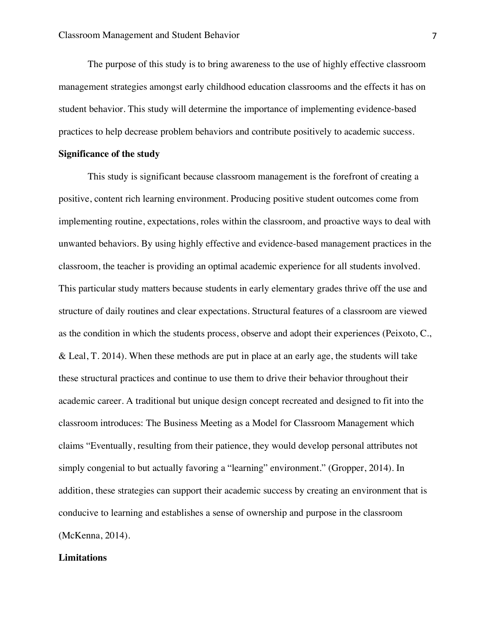The purpose of this study is to bring awareness to the use of highly effective classroom management strategies amongst early childhood education classrooms and the effects it has on student behavior. This study will determine the importance of implementing evidence-based practices to help decrease problem behaviors and contribute positively to academic success.

### **Significance of the study**

This study is significant because classroom management is the forefront of creating a positive, content rich learning environment. Producing positive student outcomes come from implementing routine, expectations, roles within the classroom, and proactive ways to deal with unwanted behaviors. By using highly effective and evidence-based management practices in the classroom, the teacher is providing an optimal academic experience for all students involved. This particular study matters because students in early elementary grades thrive off the use and structure of daily routines and clear expectations. Structural features of a classroom are viewed as the condition in which the students process, observe and adopt their experiences (Peixoto, C., & Leal, T. 2014). When these methods are put in place at an early age, the students will take these structural practices and continue to use them to drive their behavior throughout their academic career. A traditional but unique design concept recreated and designed to fit into the classroom introduces: The Business Meeting as a Model for Classroom Management which claims "Eventually, resulting from their patience, they would develop personal attributes not simply congenial to but actually favoring a "learning" environment." (Gropper, 2014). In addition, these strategies can support their academic success by creating an environment that is conducive to learning and establishes a sense of ownership and purpose in the classroom (McKenna, 2014).

### **Limitations**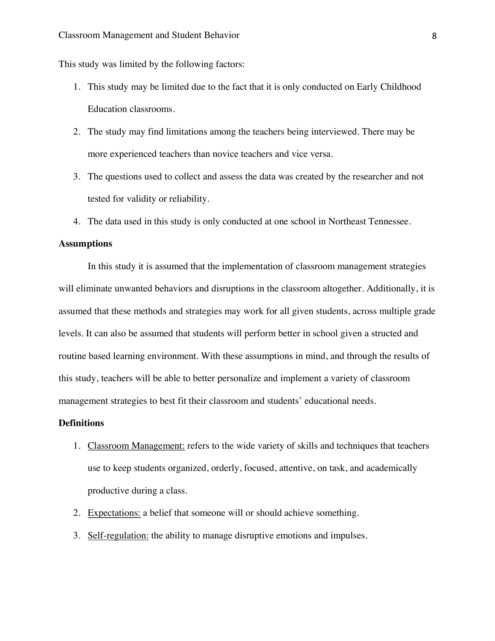This study was limited by the following factors:

- 1. This study may be limited due to the fact that it is only conducted on Early Childhood Education classrooms.
- 2. The study may find limitations among the teachers being interviewed. There may be more experienced teachers than novice teachers and vice versa.
- 3. The questions used to collect and assess the data was created by the researcher and not tested for validity or reliability.
- 4. The data used in this study is only conducted at one school in Northeast Tennessee.

### **Assumptions**

 In this study it is assumed that the implementation of classroom management strategies will eliminate unwanted behaviors and disruptions in the classroom altogether. Additionally, it is assumed that these methods and strategies may work for all given students, across multiple grade levels. It can also be assumed that students will perform better in school given a structed and routine based learning environment. With these assumptions in mind, and through the results of this study, teachers will be able to better personalize and implement a variety of classroom management strategies to best fit their classroom and students' educational needs.

### **Definitions**

- 1. Classroom Management: refers to the wide variety of skills and techniques that teachers use to keep students organized, orderly, focused, attentive, on task, and academically productive during a class.
- 2. Expectations: a belief that someone will or should achieve something.
- 3. Self-regulation: the ability to manage disruptive emotions and impulses.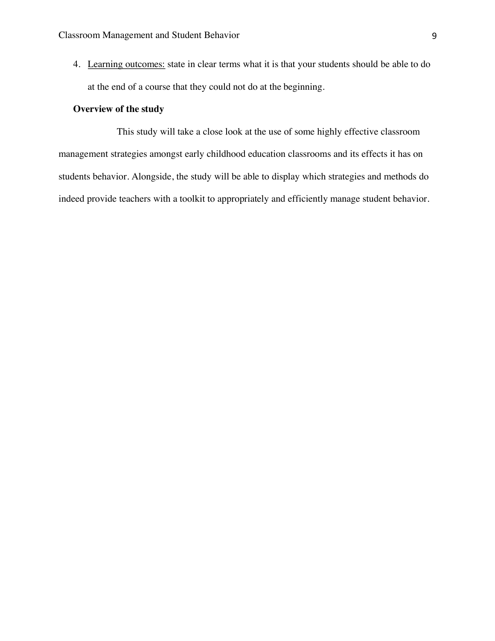4. Learning outcomes: state in clear terms what it is that your students should be able to do at the end of a course that they could not do at the beginning.

### **Overview of the study**

This study will take a close look at the use of some highly effective classroom management strategies amongst early childhood education classrooms and its effects it has on students behavior. Alongside, the study will be able to display which strategies and methods do indeed provide teachers with a toolkit to appropriately and efficiently manage student behavior.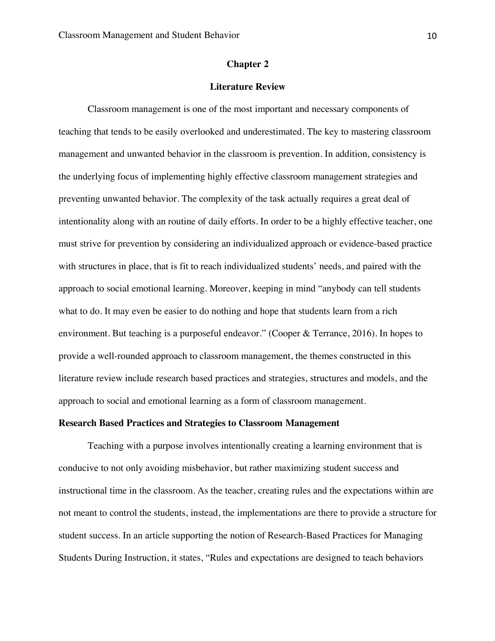### **Chapter 2**

### **Literature Review**

Classroom management is one of the most important and necessary components of teaching that tends to be easily overlooked and underestimated. The key to mastering classroom management and unwanted behavior in the classroom is prevention. In addition, consistency is the underlying focus of implementing highly effective classroom management strategies and preventing unwanted behavior. The complexity of the task actually requires a great deal of intentionality along with an routine of daily efforts. In order to be a highly effective teacher, one must strive for prevention by considering an individualized approach or evidence-based practice with structures in place, that is fit to reach individualized students' needs, and paired with the approach to social emotional learning. Moreover, keeping in mind "anybody can tell students what to do. It may even be easier to do nothing and hope that students learn from a rich environment. But teaching is a purposeful endeavor." (Cooper & Terrance, 2016). In hopes to provide a well-rounded approach to classroom management, the themes constructed in this literature review include research based practices and strategies, structures and models, and the approach to social and emotional learning as a form of classroom management.

### **Research Based Practices and Strategies to Classroom Management**

Teaching with a purpose involves intentionally creating a learning environment that is conducive to not only avoiding misbehavior, but rather maximizing student success and instructional time in the classroom. As the teacher, creating rules and the expectations within are not meant to control the students, instead, the implementations are there to provide a structure for student success. In an article supporting the notion of Research-Based Practices for Managing Students During Instruction, it states, "Rules and expectations are designed to teach behaviors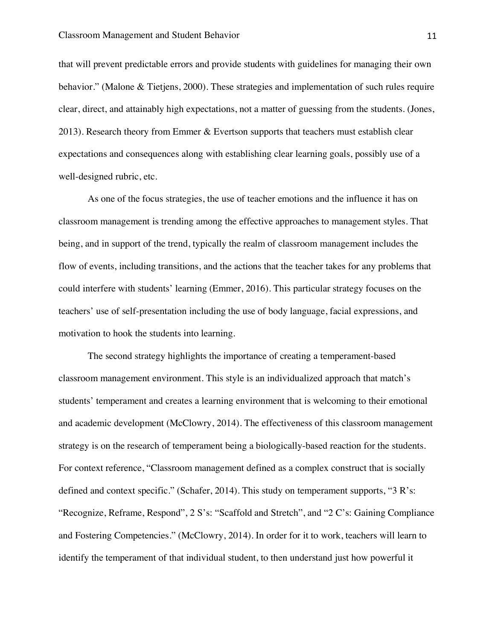that will prevent predictable errors and provide students with guidelines for managing their own behavior." (Malone & Tietjens, 2000). These strategies and implementation of such rules require clear, direct, and attainably high expectations, not a matter of guessing from the students. (Jones, 2013). Research theory from Emmer & Evertson supports that teachers must establish clear expectations and consequences along with establishing clear learning goals, possibly use of a well-designed rubric, etc.

As one of the focus strategies, the use of teacher emotions and the influence it has on classroom management is trending among the effective approaches to management styles. That being, and in support of the trend, typically the realm of classroom management includes the flow of events, including transitions, and the actions that the teacher takes for any problems that could interfere with students' learning (Emmer, 2016). This particular strategy focuses on the teachers' use of self-presentation including the use of body language, facial expressions, and motivation to hook the students into learning.

The second strategy highlights the importance of creating a temperament-based classroom management environment. This style is an individualized approach that match's students' temperament and creates a learning environment that is welcoming to their emotional and academic development (McClowry, 2014). The effectiveness of this classroom management strategy is on the research of temperament being a biologically-based reaction for the students. For context reference, "Classroom management defined as a complex construct that is socially defined and context specific." (Schafer, 2014). This study on temperament supports, "3 R's: "Recognize, Reframe, Respond", 2 S's: "Scaffold and Stretch", and "2 C's: Gaining Compliance and Fostering Competencies." (McClowry, 2014). In order for it to work, teachers will learn to identify the temperament of that individual student, to then understand just how powerful it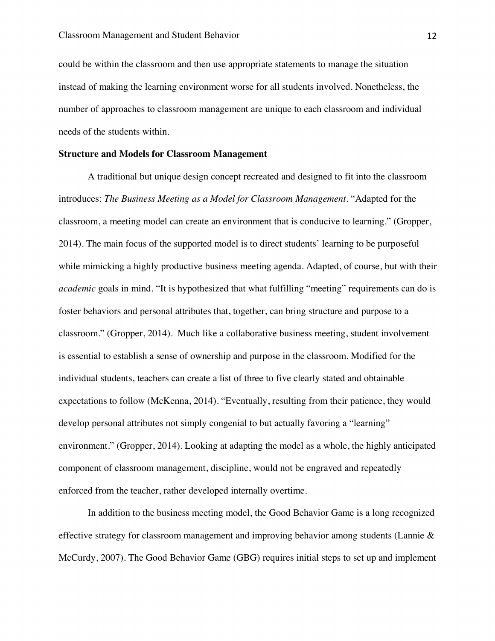could be within the classroom and then use appropriate statements to manage the situation instead of making the learning environment worse for all students involved. Nonetheless, the number of approaches to classroom management are unique to each classroom and individual needs of the students within.

### **Structure and Models for Classroom Management**

A traditional but unique design concept recreated and designed to fit into the classroom introduces: *The Business Meeting as a Model for Classroom Management*. "Adapted for the classroom, a meeting model can create an environment that is conducive to learning." (Gropper, 2014). The main focus of the supported model is to direct students' learning to be purposeful while mimicking a highly productive business meeting agenda. Adapted, of course, but with their *academic* goals in mind*.* "It is hypothesized that what fulfilling "meeting" requirements can do is foster behaviors and personal attributes that, together, can bring structure and purpose to a classroom." (Gropper, 2014). Much like a collaborative business meeting, student involvement is essential to establish a sense of ownership and purpose in the classroom. Modified for the individual students, teachers can create a list of three to five clearly stated and obtainable expectations to follow (McKenna, 2014). "Eventually, resulting from their patience, they would develop personal attributes not simply congenial to but actually favoring a "learning" environment." (Gropper, 2014). Looking at adapting the model as a whole, the highly anticipated component of classroom management, discipline, would not be engraved and repeatedly enforced from the teacher, rather developed internally overtime.

In addition to the business meeting model, the Good Behavior Game is a long recognized effective strategy for classroom management and improving behavior among students (Lannie & McCurdy, 2007). The Good Behavior Game (GBG) requires initial steps to set up and implement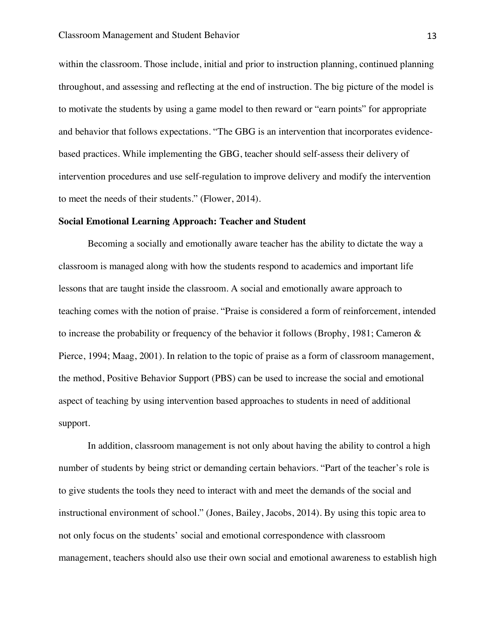within the classroom. Those include, initial and prior to instruction planning, continued planning throughout, and assessing and reflecting at the end of instruction. The big picture of the model is to motivate the students by using a game model to then reward or "earn points" for appropriate and behavior that follows expectations. "The GBG is an intervention that incorporates evidencebased practices. While implementing the GBG, teacher should self-assess their delivery of intervention procedures and use self-regulation to improve delivery and modify the intervention to meet the needs of their students." (Flower, 2014).

### **Social Emotional Learning Approach: Teacher and Student**

Becoming a socially and emotionally aware teacher has the ability to dictate the way a classroom is managed along with how the students respond to academics and important life lessons that are taught inside the classroom. A social and emotionally aware approach to teaching comes with the notion of praise. "Praise is considered a form of reinforcement, intended to increase the probability or frequency of the behavior it follows (Brophy, 1981; Cameron & Pierce, 1994; Maag, 2001)*.* In relation to the topic of praise as a form of classroom management, the method, Positive Behavior Support (PBS) can be used to increase the social and emotional aspect of teaching by using intervention based approaches to students in need of additional support.

In addition, classroom management is not only about having the ability to control a high number of students by being strict or demanding certain behaviors. "Part of the teacher's role is to give students the tools they need to interact with and meet the demands of the social and instructional environment of school." (Jones, Bailey, Jacobs, 2014). By using this topic area to not only focus on the students' social and emotional correspondence with classroom management, teachers should also use their own social and emotional awareness to establish high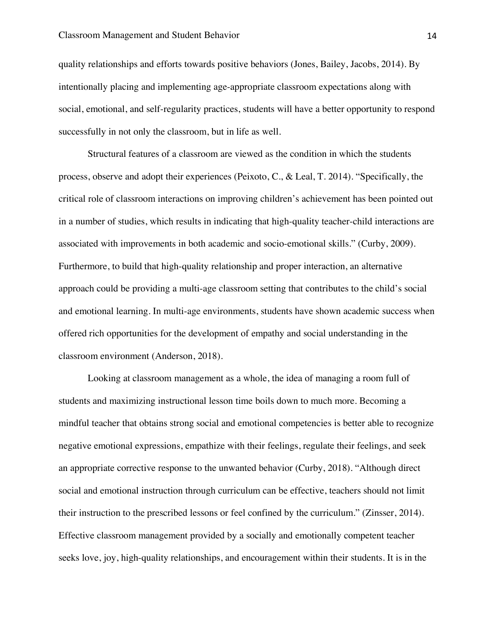quality relationships and efforts towards positive behaviors (Jones, Bailey, Jacobs, 2014). By intentionally placing and implementing age-appropriate classroom expectations along with social, emotional, and self-regularity practices, students will have a better opportunity to respond successfully in not only the classroom, but in life as well.

Structural features of a classroom are viewed as the condition in which the students process, observe and adopt their experiences (Peixoto, C., & Leal, T. 2014). "Specifically, the critical role of classroom interactions on improving children's achievement has been pointed out in a number of studies, which results in indicating that high-quality teacher-child interactions are associated with improvements in both academic and socio-emotional skills." (Curby, 2009). Furthermore, to build that high-quality relationship and proper interaction, an alternative approach could be providing a multi-age classroom setting that contributes to the child's social and emotional learning. In multi-age environments, students have shown academic success when offered rich opportunities for the development of empathy and social understanding in the classroom environment (Anderson, 2018).

Looking at classroom management as a whole, the idea of managing a room full of students and maximizing instructional lesson time boils down to much more. Becoming a mindful teacher that obtains strong social and emotional competencies is better able to recognize negative emotional expressions, empathize with their feelings, regulate their feelings, and seek an appropriate corrective response to the unwanted behavior (Curby, 2018). "Although direct social and emotional instruction through curriculum can be effective, teachers should not limit their instruction to the prescribed lessons or feel confined by the curriculum." (Zinsser, 2014). Effective classroom management provided by a socially and emotionally competent teacher seeks love, joy, high-quality relationships, and encouragement within their students. It is in the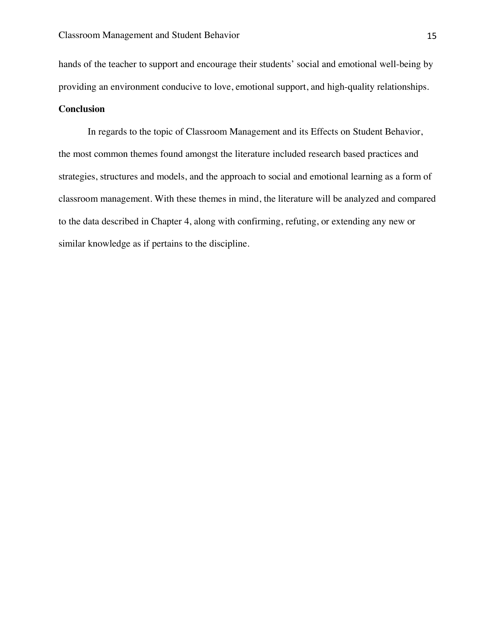hands of the teacher to support and encourage their students' social and emotional well-being by providing an environment conducive to love, emotional support, and high-quality relationships.

### **Conclusion**

In regards to the topic of Classroom Management and its Effects on Student Behavior, the most common themes found amongst the literature included research based practices and strategies, structures and models, and the approach to social and emotional learning as a form of classroom management. With these themes in mind, the literature will be analyzed and compared to the data described in Chapter 4, along with confirming, refuting, or extending any new or similar knowledge as if pertains to the discipline.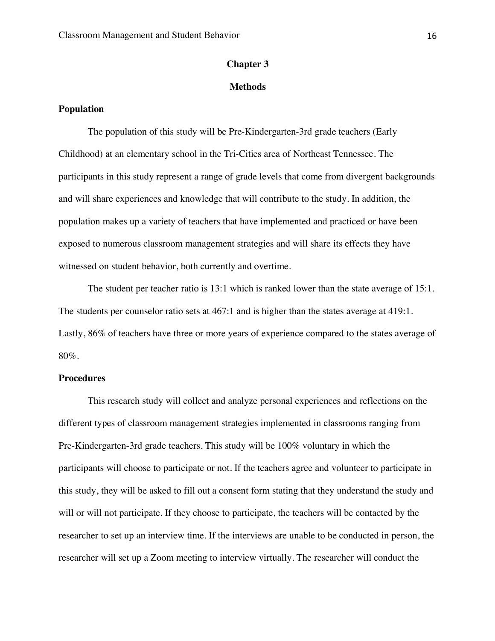### **Chapter 3**

### **Methods**

### **Population**

The population of this study will be Pre-Kindergarten-3rd grade teachers (Early Childhood) at an elementary school in the Tri-Cities area of Northeast Tennessee. The participants in this study represent a range of grade levels that come from divergent backgrounds and will share experiences and knowledge that will contribute to the study. In addition, the population makes up a variety of teachers that have implemented and practiced or have been exposed to numerous classroom management strategies and will share its effects they have witnessed on student behavior, both currently and overtime.

The student per teacher ratio is 13:1 which is ranked lower than the state average of 15:1. The students per counselor ratio sets at 467:1 and is higher than the states average at 419:1. Lastly, 86% of teachers have three or more years of experience compared to the states average of 80%.

### **Procedures**

This research study will collect and analyze personal experiences and reflections on the different types of classroom management strategies implemented in classrooms ranging from Pre-Kindergarten-3rd grade teachers. This study will be 100% voluntary in which the participants will choose to participate or not. If the teachers agree and volunteer to participate in this study, they will be asked to fill out a consent form stating that they understand the study and will or will not participate. If they choose to participate, the teachers will be contacted by the researcher to set up an interview time. If the interviews are unable to be conducted in person, the researcher will set up a Zoom meeting to interview virtually. The researcher will conduct the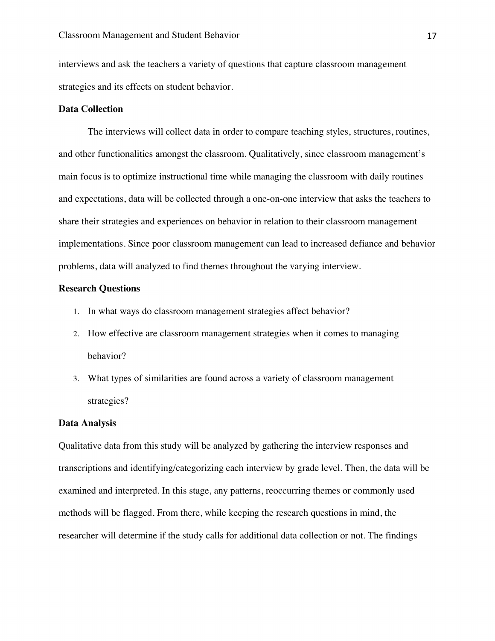interviews and ask the teachers a variety of questions that capture classroom management strategies and its effects on student behavior.

### **Data Collection**

The interviews will collect data in order to compare teaching styles, structures, routines, and other functionalities amongst the classroom. Qualitatively, since classroom management's main focus is to optimize instructional time while managing the classroom with daily routines and expectations, data will be collected through a one-on-one interview that asks the teachers to share their strategies and experiences on behavior in relation to their classroom management implementations. Since poor classroom management can lead to increased defiance and behavior problems, data will analyzed to find themes throughout the varying interview.

### **Research Questions**

- 1. In what ways do classroom management strategies affect behavior?
- 2. How effective are classroom management strategies when it comes to managing behavior?
- 3. What types of similarities are found across a variety of classroom management strategies?

### **Data Analysis**

Qualitative data from this study will be analyzed by gathering the interview responses and transcriptions and identifying/categorizing each interview by grade level. Then, the data will be examined and interpreted. In this stage, any patterns, reoccurring themes or commonly used methods will be flagged. From there, while keeping the research questions in mind, the researcher will determine if the study calls for additional data collection or not. The findings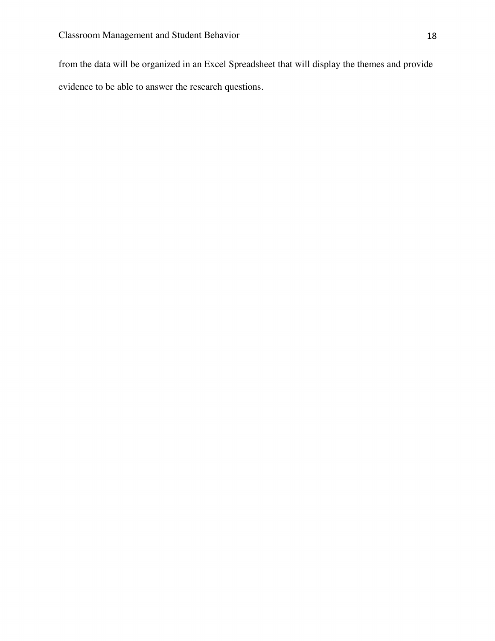from the data will be organized in an Excel Spreadsheet that will display the themes and provide evidence to be able to answer the research questions.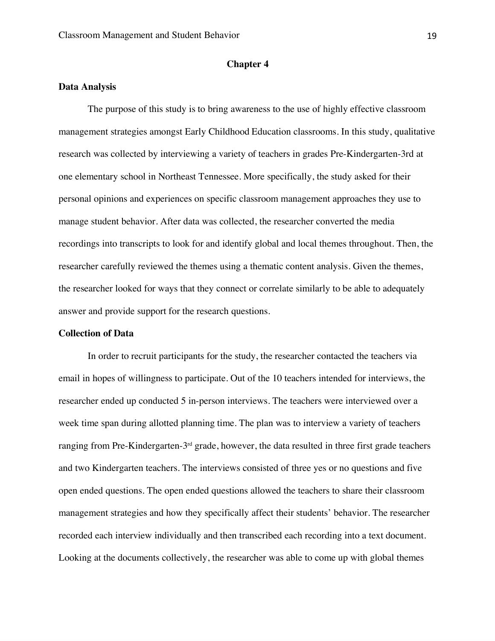### **Chapter 4**

### **Data Analysis**

The purpose of this study is to bring awareness to the use of highly effective classroom management strategies amongst Early Childhood Education classrooms. In this study, qualitative research was collected by interviewing a variety of teachers in grades Pre-Kindergarten-3rd at one elementary school in Northeast Tennessee. More specifically, the study asked for their personal opinions and experiences on specific classroom management approaches they use to manage student behavior. After data was collected, the researcher converted the media recordings into transcripts to look for and identify global and local themes throughout. Then, the researcher carefully reviewed the themes using a thematic content analysis. Given the themes, the researcher looked for ways that they connect or correlate similarly to be able to adequately answer and provide support for the research questions.

### **Collection of Data**

In order to recruit participants for the study, the researcher contacted the teachers via email in hopes of willingness to participate. Out of the 10 teachers intended for interviews, the researcher ended up conducted 5 in-person interviews. The teachers were interviewed over a week time span during allotted planning time. The plan was to interview a variety of teachers ranging from Pre-Kindergarten- $3<sup>rd</sup>$  grade, however, the data resulted in three first grade teachers and two Kindergarten teachers. The interviews consisted of three yes or no questions and five open ended questions. The open ended questions allowed the teachers to share their classroom management strategies and how they specifically affect their students' behavior. The researcher recorded each interview individually and then transcribed each recording into a text document. Looking at the documents collectively, the researcher was able to come up with global themes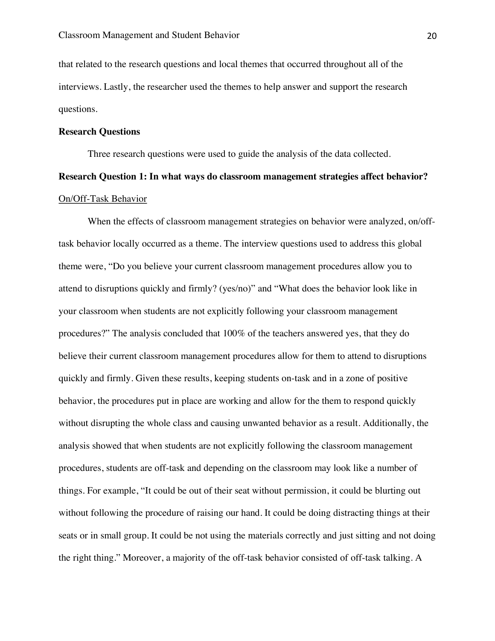that related to the research questions and local themes that occurred throughout all of the interviews. Lastly, the researcher used the themes to help answer and support the research questions.

### **Research Questions**

Three research questions were used to guide the analysis of the data collected.

# **Research Question 1: In what ways do classroom management strategies affect behavior?**  On/Off-Task Behavior

When the effects of classroom management strategies on behavior were analyzed, on/offtask behavior locally occurred as a theme. The interview questions used to address this global theme were, "Do you believe your current classroom management procedures allow you to attend to disruptions quickly and firmly? (yes/no)" and "What does the behavior look like in your classroom when students are not explicitly following your classroom management procedures?" The analysis concluded that 100% of the teachers answered yes, that they do believe their current classroom management procedures allow for them to attend to disruptions quickly and firmly. Given these results, keeping students on-task and in a zone of positive behavior, the procedures put in place are working and allow for the them to respond quickly without disrupting the whole class and causing unwanted behavior as a result. Additionally, the analysis showed that when students are not explicitly following the classroom management procedures, students are off-task and depending on the classroom may look like a number of things. For example, "It could be out of their seat without permission, it could be blurting out without following the procedure of raising our hand. It could be doing distracting things at their seats or in small group. It could be not using the materials correctly and just sitting and not doing the right thing." Moreover, a majority of the off-task behavior consisted of off-task talking. A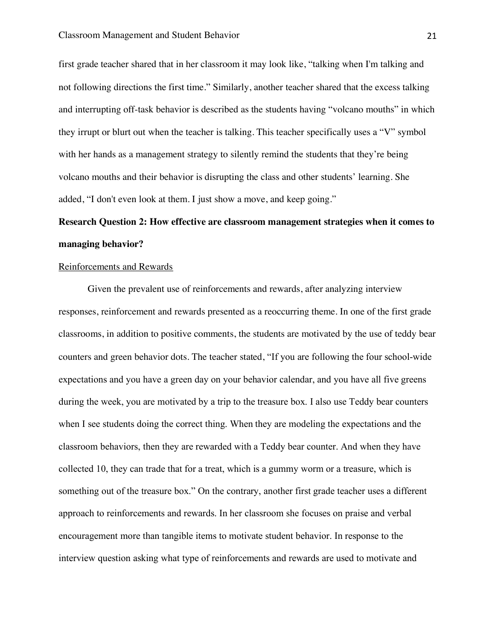first grade teacher shared that in her classroom it may look like, "talking when I'm talking and not following directions the first time." Similarly, another teacher shared that the excess talking and interrupting off-task behavior is described as the students having "volcano mouths" in which they irrupt or blurt out when the teacher is talking. This teacher specifically uses a "V" symbol with her hands as a management strategy to silently remind the students that they're being volcano mouths and their behavior is disrupting the class and other students' learning. She added, "I don't even look at them. I just show a move, and keep going."

# **Research Question 2: How effective are classroom management strategies when it comes to managing behavior?**

### Reinforcements and Rewards

Given the prevalent use of reinforcements and rewards, after analyzing interview responses, reinforcement and rewards presented as a reoccurring theme. In one of the first grade classrooms, in addition to positive comments, the students are motivated by the use of teddy bear counters and green behavior dots. The teacher stated, "If you are following the four school-wide expectations and you have a green day on your behavior calendar, and you have all five greens during the week, you are motivated by a trip to the treasure box. I also use Teddy bear counters when I see students doing the correct thing. When they are modeling the expectations and the classroom behaviors, then they are rewarded with a Teddy bear counter. And when they have collected 10, they can trade that for a treat, which is a gummy worm or a treasure, which is something out of the treasure box." On the contrary, another first grade teacher uses a different approach to reinforcements and rewards. In her classroom she focuses on praise and verbal encouragement more than tangible items to motivate student behavior. In response to the interview question asking what type of reinforcements and rewards are used to motivate and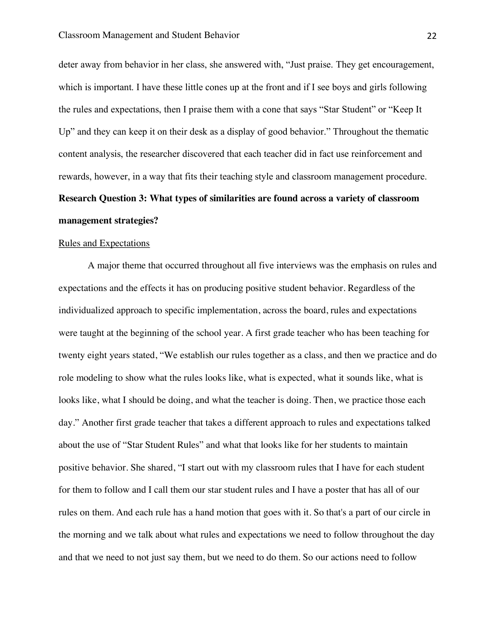deter away from behavior in her class, she answered with, "Just praise. They get encouragement, which is important. I have these little cones up at the front and if I see boys and girls following the rules and expectations, then I praise them with a cone that says "Star Student" or "Keep It Up" and they can keep it on their desk as a display of good behavior." Throughout the thematic content analysis, the researcher discovered that each teacher did in fact use reinforcement and rewards, however, in a way that fits their teaching style and classroom management procedure. **Research Question 3: What types of similarities are found across a variety of classroom management strategies?** 

### Rules and Expectations

A major theme that occurred throughout all five interviews was the emphasis on rules and expectations and the effects it has on producing positive student behavior. Regardless of the individualized approach to specific implementation, across the board, rules and expectations were taught at the beginning of the school year. A first grade teacher who has been teaching for twenty eight years stated, "We establish our rules together as a class, and then we practice and do role modeling to show what the rules looks like, what is expected, what it sounds like, what is looks like, what I should be doing, and what the teacher is doing. Then, we practice those each day." Another first grade teacher that takes a different approach to rules and expectations talked about the use of "Star Student Rules" and what that looks like for her students to maintain positive behavior. She shared, "I start out with my classroom rules that I have for each student for them to follow and I call them our star student rules and I have a poster that has all of our rules on them. And each rule has a hand motion that goes with it. So that's a part of our circle in the morning and we talk about what rules and expectations we need to follow throughout the day and that we need to not just say them, but we need to do them. So our actions need to follow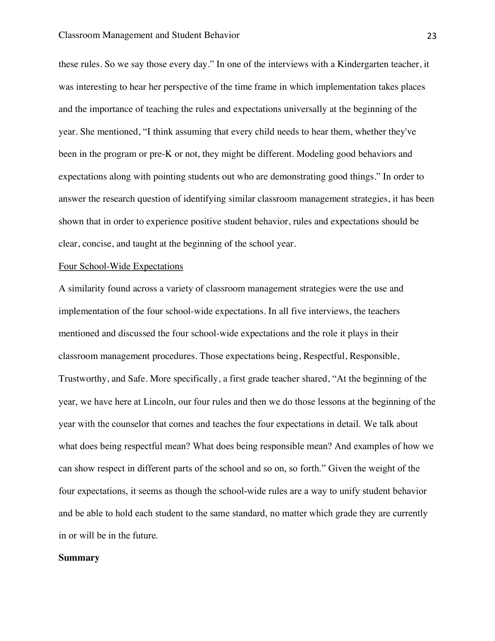these rules. So we say those every day." In one of the interviews with a Kindergarten teacher, it was interesting to hear her perspective of the time frame in which implementation takes places and the importance of teaching the rules and expectations universally at the beginning of the year. She mentioned, "I think assuming that every child needs to hear them, whether they've been in the program or pre-K or not, they might be different. Modeling good behaviors and expectations along with pointing students out who are demonstrating good things." In order to answer the research question of identifying similar classroom management strategies, it has been shown that in order to experience positive student behavior, rules and expectations should be clear, concise, and taught at the beginning of the school year.

### Four School-Wide Expectations

A similarity found across a variety of classroom management strategies were the use and implementation of the four school-wide expectations. In all five interviews, the teachers mentioned and discussed the four school-wide expectations and the role it plays in their classroom management procedures. Those expectations being, Respectful, Responsible, Trustworthy, and Safe. More specifically, a first grade teacher shared, "At the beginning of the year, we have here at Lincoln, our four rules and then we do those lessons at the beginning of the year with the counselor that comes and teaches the four expectations in detail. We talk about what does being respectful mean? What does being responsible mean? And examples of how we can show respect in different parts of the school and so on, so forth." Given the weight of the four expectations, it seems as though the school-wide rules are a way to unify student behavior and be able to hold each student to the same standard, no matter which grade they are currently in or will be in the future.

### **Summary**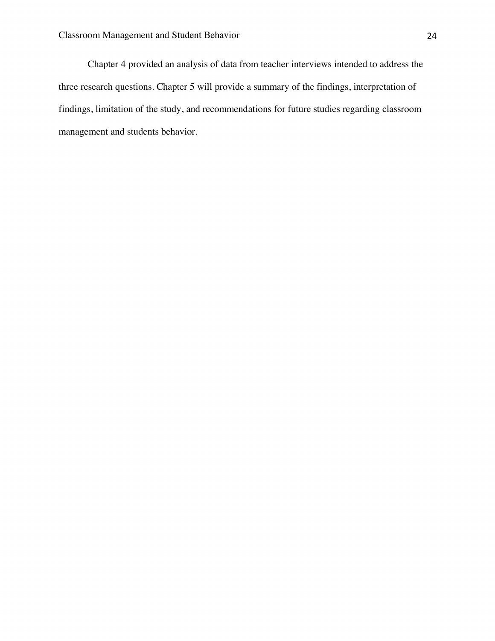Chapter 4 provided an analysis of data from teacher interviews intended to address the three research questions. Chapter 5 will provide a summary of the findings, interpretation of findings, limitation of the study, and recommendations for future studies regarding classroom management and students behavior.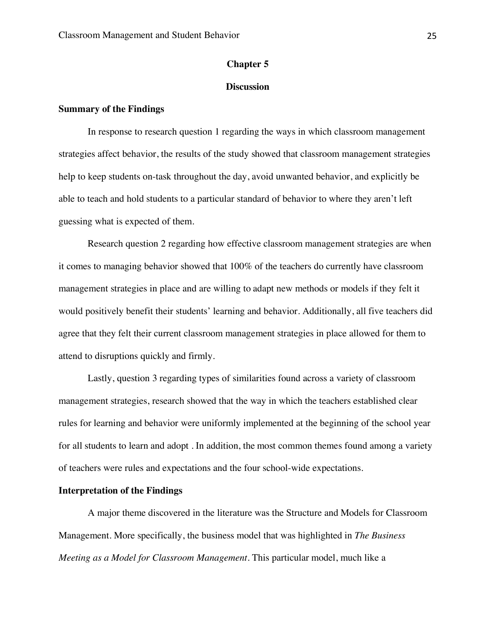### **Chapter 5**

### **Discussion**

### **Summary of the Findings**

In response to research question 1 regarding the ways in which classroom management strategies affect behavior, the results of the study showed that classroom management strategies help to keep students on-task throughout the day, avoid unwanted behavior, and explicitly be able to teach and hold students to a particular standard of behavior to where they aren't left guessing what is expected of them.

Research question 2 regarding how effective classroom management strategies are when it comes to managing behavior showed that 100% of the teachers do currently have classroom management strategies in place and are willing to adapt new methods or models if they felt it would positively benefit their students' learning and behavior. Additionally, all five teachers did agree that they felt their current classroom management strategies in place allowed for them to attend to disruptions quickly and firmly.

Lastly, question 3 regarding types of similarities found across a variety of classroom management strategies, research showed that the way in which the teachers established clear rules for learning and behavior were uniformly implemented at the beginning of the school year for all students to learn and adopt . In addition, the most common themes found among a variety of teachers were rules and expectations and the four school-wide expectations.

### **Interpretation of the Findings**

A major theme discovered in the literature was the Structure and Models for Classroom Management. More specifically, the business model that was highlighted in *The Business Meeting as a Model for Classroom Management*. This particular model, much like a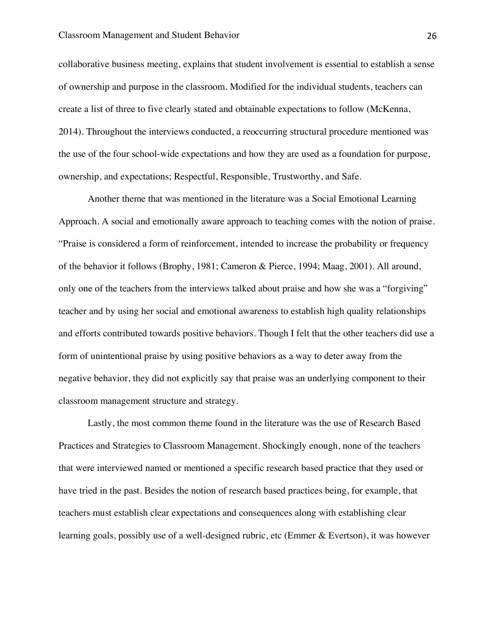collaborative business meeting, explains that student involvement is essential to establish a sense of ownership and purpose in the classroom. Modified for the individual students, teachers can create a list of three to five clearly stated and obtainable expectations to follow (McKenna, 2014). Throughout the interviews conducted, a reoccurring structural procedure mentioned was the use of the four school-wide expectations and how they are used as a foundation for purpose, ownership, and expectations; Respectful, Responsible, Trustworthy, and Safe.

Another theme that was mentioned in the literature was a Social Emotional Learning Approach. A social and emotionally aware approach to teaching comes with the notion of praise. "Praise is considered a form of reinforcement, intended to increase the probability or frequency of the behavior it follows (Brophy, 1981; Cameron & Pierce, 1994; Maag, 2001). All around, only one of the teachers from the interviews talked about praise and how she was a "forgiving" teacher and by using her social and emotional awareness to establish high quality relationships and efforts contributed towards positive behaviors. Though I felt that the other teachers did use a form of unintentional praise by using positive behaviors as a way to deter away from the negative behavior, they did not explicitly say that praise was an underlying component to their classroom management structure and strategy.

Lastly, the most common theme found in the literature was the use of Research Based Practices and Strategies to Classroom Management. Shockingly enough, none of the teachers that were interviewed named or mentioned a specific research based practice that they used or have tried in the past. Besides the notion of research based practices being, for example, that teachers must establish clear expectations and consequences along with establishing clear learning goals, possibly use of a well-designed rubric, etc (Emmer & Evertson), it was however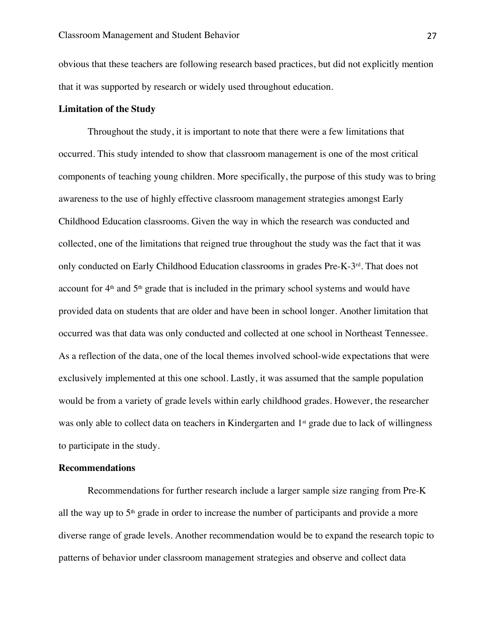obvious that these teachers are following research based practices, but did not explicitly mention that it was supported by research or widely used throughout education.

### **Limitation of the Study**

 Throughout the study, it is important to note that there were a few limitations that occurred. This study intended to show that classroom management is one of the most critical components of teaching young children. More specifically, the purpose of this study was to bring awareness to the use of highly effective classroom management strategies amongst Early Childhood Education classrooms. Given the way in which the research was conducted and collected, one of the limitations that reigned true throughout the study was the fact that it was only conducted on Early Childhood Education classrooms in grades Pre-K-3rd. That does not account for  $4<sup>th</sup>$  and  $5<sup>th</sup>$  grade that is included in the primary school systems and would have provided data on students that are older and have been in school longer. Another limitation that occurred was that data was only conducted and collected at one school in Northeast Tennessee. As a reflection of the data, one of the local themes involved school-wide expectations that were exclusively implemented at this one school. Lastly, it was assumed that the sample population would be from a variety of grade levels within early childhood grades. However, the researcher was only able to collect data on teachers in Kindergarten and 1<sup>st</sup> grade due to lack of willingness to participate in the study.

### **Recommendations**

 Recommendations for further research include a larger sample size ranging from Pre-K all the way up to  $5<sup>th</sup>$  grade in order to increase the number of participants and provide a more diverse range of grade levels. Another recommendation would be to expand the research topic to patterns of behavior under classroom management strategies and observe and collect data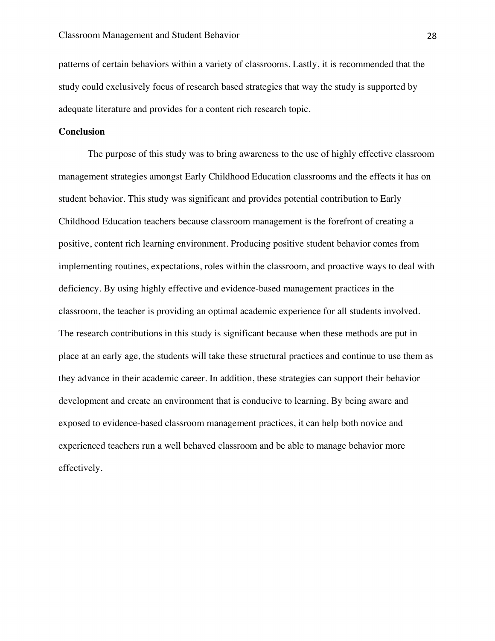patterns of certain behaviors within a variety of classrooms. Lastly, it is recommended that the study could exclusively focus of research based strategies that way the study is supported by adequate literature and provides for a content rich research topic.

### **Conclusion**

The purpose of this study was to bring awareness to the use of highly effective classroom management strategies amongst Early Childhood Education classrooms and the effects it has on student behavior. This study was significant and provides potential contribution to Early Childhood Education teachers because classroom management is the forefront of creating a positive, content rich learning environment. Producing positive student behavior comes from implementing routines, expectations, roles within the classroom, and proactive ways to deal with deficiency. By using highly effective and evidence-based management practices in the classroom, the teacher is providing an optimal academic experience for all students involved. The research contributions in this study is significant because when these methods are put in place at an early age, the students will take these structural practices and continue to use them as they advance in their academic career. In addition, these strategies can support their behavior development and create an environment that is conducive to learning. By being aware and exposed to evidence-based classroom management practices, it can help both novice and experienced teachers run a well behaved classroom and be able to manage behavior more effectively.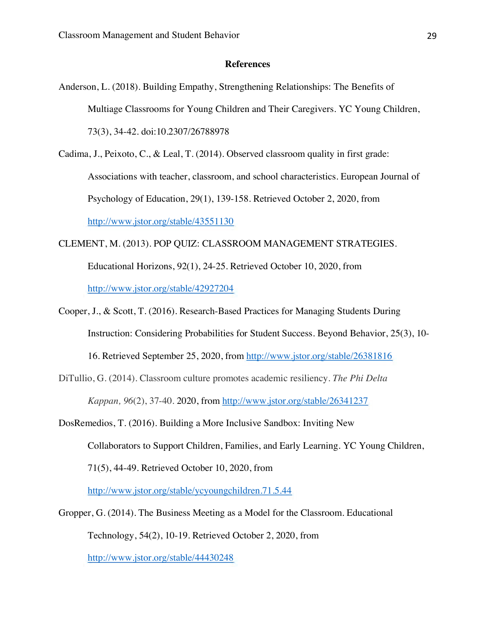### **References**

- Anderson, L. (2018). Building Empathy, Strengthening Relationships: The Benefits of Multiage Classrooms for Young Children and Their Caregivers. YC Young Children, 73(3), 34-42. doi:10.2307/26788978
- Cadima, J., Peixoto, C., & Leal, T. (2014). Observed classroom quality in first grade: Associations with teacher, classroom, and school characteristics. European Journal of Psychology of Education, 29(1), 139-158. Retrieved October 2, 2020, from http://www.jstor.org/stable/43551130

CLEMENT, M. (2013). POP QUIZ: CLASSROOM MANAGEMENT STRATEGIES.

Educational Horizons, 92(1), 24-25. Retrieved October 10, 2020, from http://www.jstor.org/stable/42927204

Cooper, J., & Scott, T. (2016). Research-Based Practices for Managing Students During Instruction: Considering Probabilities for Student Success. Beyond Behavior, 25(3), 10- 16. Retrieved September 25, 2020, from http://www.jstor.org/stable/26381816

DiTullio, G. (2014). Classroom culture promotes academic resiliency. *The Phi Delta Kappan, 96*(2), 37-40. 2020, from http://www.jstor.org/stable/26341237

- DosRemedios, T. (2016). Building a More Inclusive Sandbox: Inviting New Collaborators to Support Children, Families, and Early Learning. YC Young Children, 71(5), 44-49. Retrieved October 10, 2020, from http://www.jstor.org/stable/ycyoungchildren.71.5.44
- Gropper, G. (2014). The Business Meeting as a Model for the Classroom. Educational Technology, 54(2), 10-19. Retrieved October 2, 2020, from http://www.jstor.org/stable/44430248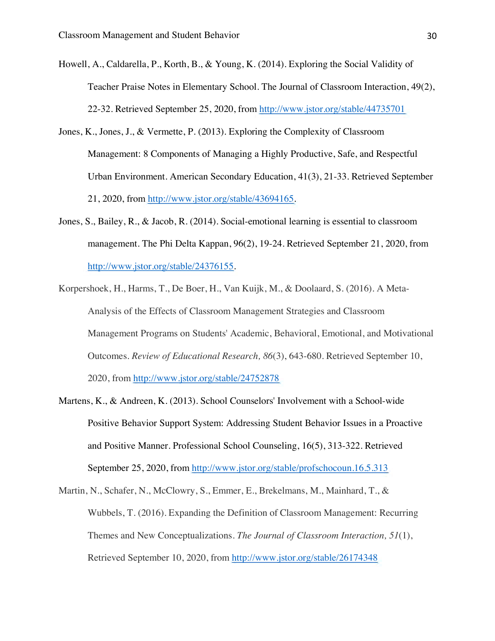- Howell, A., Caldarella, P., Korth, B., & Young, K. (2014). Exploring the Social Validity of Teacher Praise Notes in Elementary School. The Journal of Classroom Interaction, 49(2), 22-32. Retrieved September 25, 2020, from http://www.jstor.org/stable/44735701
- Jones, K., Jones, J., & Vermette, P. (2013). Exploring the Complexity of Classroom Management: 8 Components of Managing a Highly Productive, Safe, and Respectful Urban Environment. American Secondary Education, 41(3), 21-33. Retrieved September 21, 2020, from http://www.jstor.org/stable/43694165.
- Jones, S., Bailey, R., & Jacob, R. (2014). Social-emotional learning is essential to classroom management. The Phi Delta Kappan, 96(2), 19-24. Retrieved September 21, 2020, from http://www.jstor.org/stable/24376155.
- Korpershoek, H., Harms, T., De Boer, H., Van Kuijk, M., & Doolaard, S. (2016). A Meta-Analysis of the Effects of Classroom Management Strategies and Classroom Management Programs on Students' Academic, Behavioral, Emotional, and Motivational Outcomes. *Review of Educational Research, 86*(3), 643-680. Retrieved September 10, 2020, from http://www.jstor.org/stable/24752878
- Martens, K., & Andreen, K. (2013). School Counselors' Involvement with a School-wide Positive Behavior Support System: Addressing Student Behavior Issues in a Proactive and Positive Manner. Professional School Counseling, 16(5), 313-322. Retrieved September 25, 2020, from http://www.jstor.org/stable/profschocoun.16.5.313

Martin, N., Schafer, N., McClowry, S., Emmer, E., Brekelmans, M., Mainhard, T., & Wubbels, T. (2016). Expanding the Definition of Classroom Management: Recurring Themes and New Conceptualizations. *The Journal of Classroom Interaction, 51*(1), Retrieved September 10, 2020, from http://www.jstor.org/stable/26174348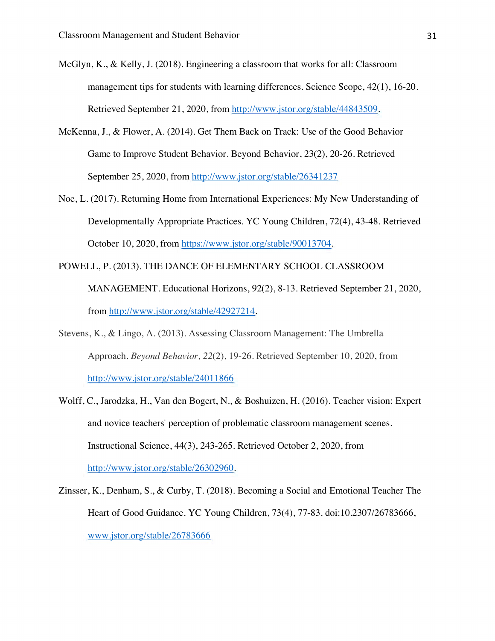- McGlyn, K., & Kelly, J. (2018). Engineering a classroom that works for all: Classroom management tips for students with learning differences. Science Scope, 42(1), 16-20. Retrieved September 21, 2020, from http://www.jstor.org/stable/44843509.
- McKenna, J., & Flower, A. (2014). Get Them Back on Track: Use of the Good Behavior Game to Improve Student Behavior. Beyond Behavior, 23(2), 20-26. Retrieved September 25, 2020, from http://www.jstor.org/stable/26341237
- Noe, L. (2017). Returning Home from International Experiences: My New Understanding of Developmentally Appropriate Practices. YC Young Children, 72(4), 43-48. Retrieved October 10, 2020, from https://www.jstor.org/stable/90013704.
- POWELL, P. (2013). THE DANCE OF ELEMENTARY SCHOOL CLASSROOM MANAGEMENT. Educational Horizons, 92(2), 8-13. Retrieved September 21, 2020, from http://www.jstor.org/stable/42927214.
- Stevens, K., & Lingo, A. (2013). Assessing Classroom Management: The Umbrella Approach. *Beyond Behavior, 22*(2), 19-26. Retrieved September 10, 2020, from http://www.jstor.org/stable/24011866
- Wolff, C., Jarodzka, H., Van den Bogert, N., & Boshuizen, H. (2016). Teacher vision: Expert and novice teachers' perception of problematic classroom management scenes. Instructional Science, 44(3), 243-265. Retrieved October 2, 2020, from http://www.jstor.org/stable/26302960.
- Zinsser, K., Denham, S., & Curby, T. (2018). Becoming a Social and Emotional Teacher The Heart of Good Guidance. YC Young Children, 73(4), 77-83. doi:10.2307/26783666, www.jstor.org/stable/26783666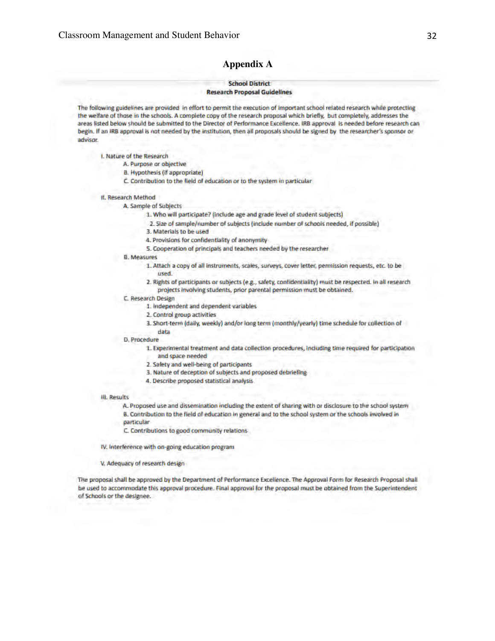### **Appendix A**

### **School District**

#### **Research Proposal Guidelines**

The following guidelines are provided in effort to permit the execution of important school related research while protecting the welfare of those in the schools. A complete copy of the research proposal which briefly, but completely, addresses the areas listed below should be submitted to the Director of Perlormance Excellence. IRB approval is needed before research can begin. If an IRB approval is not needed by the institution, then all proposals should be signed by the researcher's sponsor or advisor.

I. Nature of the Researeh

- A. Purpose or objective
- a . Hypothesis (if appropriate)
- C. Contribution to the field of education or to the system in particular
- II. Researeh Method
	- A. sample of Subjects
		- 1. Who will participate? (include age and grade level of student subjects)
		- 2. Size of sample/number of subjects (include number of schools needed, if possible)
		- 3. Materials to be used
		- 4. Provisions for confidentiality of anonymity
		- 5. Cooperation of principals and teachers needed by the researcher
	- **B.** Measures
		- 1. Attach a copy of all instruments, scales, surveys, cover letter, permission requests, etc. to be used.
		- 2. Rights of participants or subjects (e.g., safety, confidentiality) must be respected. In all research projects involving students, prior parental permission must be obtained.
	- C. Research Design
		- 1. Independent and dependent variables
		- 2. Control group activities

data

- 3. Short-term (daily, weekly) and/or long term (monthly/yearly) time schedule for collection of
- D. Procedure
	- 1. Experimental treatment and data collection procedures, including time required for participation and space needed
	- 2. Safety and well-being of participants
	- 3. Nature of deception of subjects and proposed debrieling
	- 4. Describe proposed statistical analysis

#### Ill. ResultS

A. Proposed use and dissemination including the extent of sharing with or disclosure to the school system 8. Contribution to the field of education in general and to the school system or the schools involved in particular

- C. Contributions to good community relations-
- IV. Interference with on-going education program
- V. Adequacy of research design

The proposal shall be approved by the Department of Performance Excellence. The Approval Form for Research Proposal shall be used to accommodate this approval procedure. Final approval for the proposal must be obtained from the Superintendent of Schools or the designee.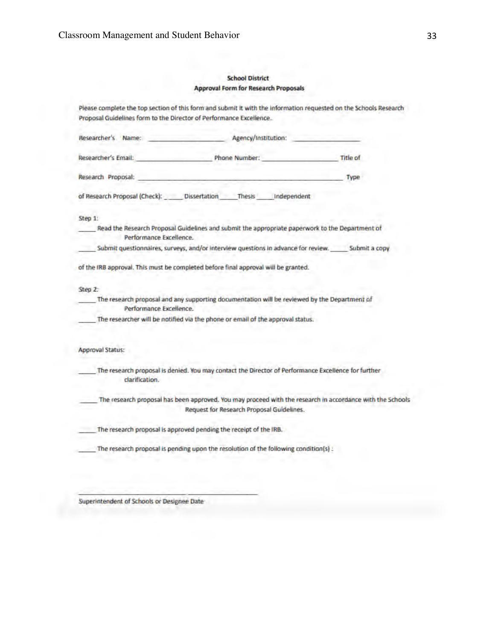### School District Approval Form for Research Proposals

| Please complete the top section of this form and submit it with the information requested on the Schools Research<br>Proposal Guidelines form to the Director of Performance Excellence. |      |
|------------------------------------------------------------------------------------------------------------------------------------------------------------------------------------------|------|
| Agency/Institution:<br>Researcher's Name:                                                                                                                                                |      |
| Researcher's Email: Title of Phone Number: Title of                                                                                                                                      |      |
| Research Proposal:                                                                                                                                                                       | Type |
| of Research Proposal (Check): Dissertation Thesis Independent                                                                                                                            |      |
| Step 1:                                                                                                                                                                                  |      |
| Read the Research Proposal Guidelines and submit the appropriate paperwork to the Department of<br>Performance Excellence.                                                               |      |
| Submit questionnaires, surveys, and/or interview questions in advance for review. Submit a copy                                                                                          |      |
| of the IRB approval. This must be completed before final approval will be granted.                                                                                                       |      |
| Step 2:                                                                                                                                                                                  |      |
| The research proposal and any supporting documentation will be reviewed by the Department of<br>Performance Excellence.                                                                  |      |
| The researcher will be notified via the phone or email of the approval status.                                                                                                           |      |
| <b>Approval Status:</b>                                                                                                                                                                  |      |
| The research proposal is denied. You may contact the Director of Performance Excellence for further<br>clarification.                                                                    |      |
| The research proposal has been approved. You may proceed with the research in accordance with the Schools<br>Request for Research Proposal Guidelines.                                   |      |
| The research proposal is approved pending the receipt of the IRB.                                                                                                                        |      |
| The research proposal is pending upon the resolution of the following condition(s) :                                                                                                     |      |

Superintendent of Schools or Designee Date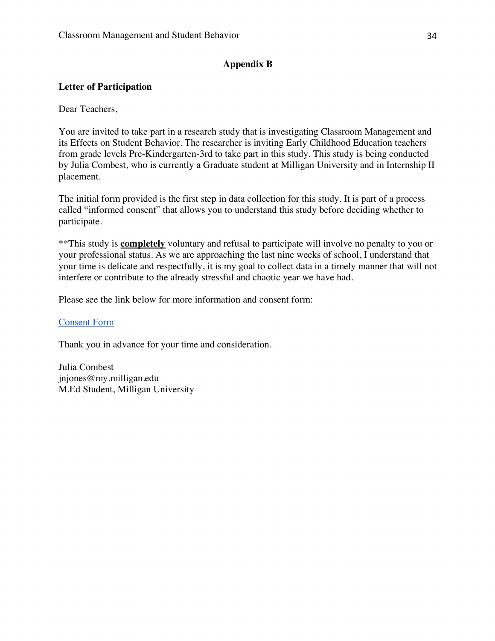# **Appendix B**

# **Letter of Participation**

Dear Teachers,

You are invited to take part in a research study that is investigating Classroom Management and its Effects on Student Behavior. The researcher is inviting Early Childhood Education teachers from grade levels Pre-Kindergarten-3rd to take part in this study. This study is being conducted by Julia Combest, who is currently a Graduate student at Milligan University and in Internship II placement.

The initial form provided is the first step in data collection for this study. It is part of a process called "informed consent" that allows you to understand this study before deciding whether to participate.

\*\*This study is **completely** voluntary and refusal to participate will involve no penalty to you or your professional status. As we are approaching the last nine weeks of school, I understand that your time is delicate and respectfully, it is my goal to collect data in a timely manner that will not interfere or contribute to the already stressful and chaotic year we have had.

Please see the link below for more information and consent form:

### Consent Form

Thank you in advance for your time and consideration.

Julia Combest jnjones@my.milligan.edu M.Ed Student, Milligan University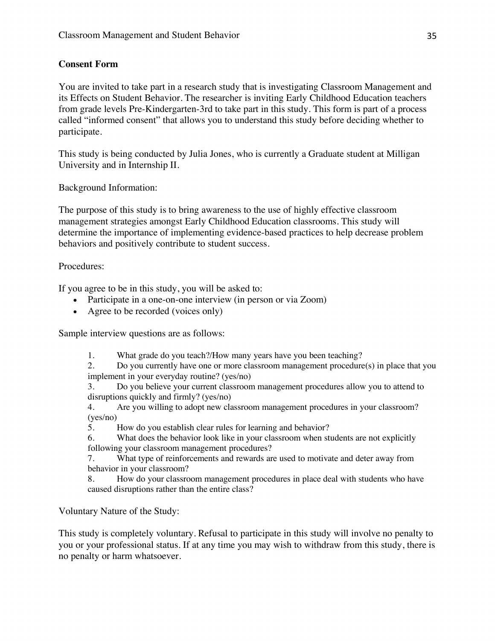# **Consent Form**

You are invited to take part in a research study that is investigating Classroom Management and its Effects on Student Behavior. The researcher is inviting Early Childhood Education teachers from grade levels Pre-Kindergarten-3rd to take part in this study. This form is part of a process called "informed consent" that allows you to understand this study before deciding whether to participate.

This study is being conducted by Julia Jones, who is currently a Graduate student at Milligan University and in Internship II.

Background Information:

The purpose of this study is to bring awareness to the use of highly effective classroom management strategies amongst Early Childhood Education classrooms. This study will determine the importance of implementing evidence-based practices to help decrease problem behaviors and positively contribute to student success.

Procedures:

If you agree to be in this study, you will be asked to:

- Participate in a one-on-one interview (in person or via Zoom)
- Agree to be recorded (voices only)

Sample interview questions are as follows:

1. What grade do you teach?/How many years have you been teaching?

2. Do you currently have one or more classroom management procedure(s) in place that you implement in your everyday routine? (yes/no)

3. Do you believe your current classroom management procedures allow you to attend to disruptions quickly and firmly? (yes/no)

4. Are you willing to adopt new classroom management procedures in your classroom? (yes/no)

5. How do you establish clear rules for learning and behavior?

6. What does the behavior look like in your classroom when students are not explicitly following your classroom management procedures?

7. What type of reinforcements and rewards are used to motivate and deter away from behavior in your classroom?

8. How do your classroom management procedures in place deal with students who have caused disruptions rather than the entire class?

Voluntary Nature of the Study:

This study is completely voluntary. Refusal to participate in this study will involve no penalty to you or your professional status. If at any time you may wish to withdraw from this study, there is no penalty or harm whatsoever.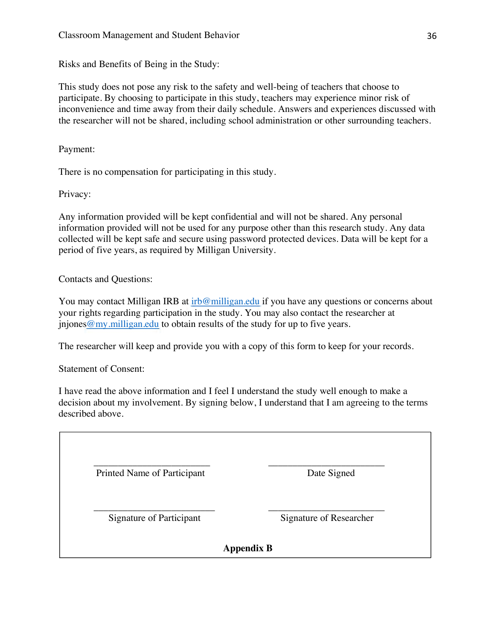Risks and Benefits of Being in the Study:

This study does not pose any risk to the safety and well-being of teachers that choose to participate. By choosing to participate in this study, teachers may experience minor risk of inconvenience and time away from their daily schedule. Answers and experiences discussed with the researcher will not be shared, including school administration or other surrounding teachers.

Payment:

There is no compensation for participating in this study.

Privacy:

Any information provided will be kept confidential and will not be shared. Any personal information provided will not be used for any purpose other than this research study. Any data collected will be kept safe and secure using password protected devices. Data will be kept for a period of five years, as required by Milligan University.

Contacts and Questions:

You may contact Milligan IRB at irb@milligan.edu if you have any questions or concerns about your rights regarding participation in the study. You may also contact the researcher at  $\mu$  injones @my.milligan.edu to obtain results of the study for up to five years.

The researcher will keep and provide you with a copy of this form to keep for your records.

Statement of Consent:

I have read the above information and I feel I understand the study well enough to make a decision about my involvement. By signing below, I understand that I am agreeing to the terms described above.

| Printed Name of Participant | Date Signed             |
|-----------------------------|-------------------------|
|                             |                         |
| Signature of Participant    | Signature of Researcher |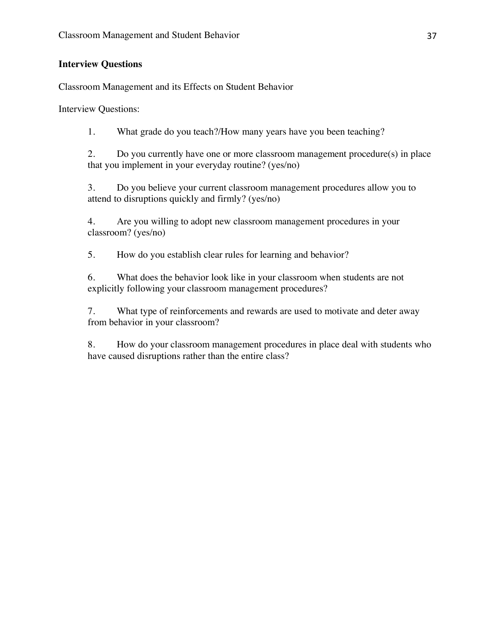# **Interview Questions**

Classroom Management and its Effects on Student Behavior

Interview Questions:

1. What grade do you teach?/How many years have you been teaching?

2. Do you currently have one or more classroom management procedure(s) in place that you implement in your everyday routine? (yes/no)

3. Do you believe your current classroom management procedures allow you to attend to disruptions quickly and firmly? (yes/no)

4. Are you willing to adopt new classroom management procedures in your classroom? (yes/no)

5. How do you establish clear rules for learning and behavior?

6. What does the behavior look like in your classroom when students are not explicitly following your classroom management procedures?

7. What type of reinforcements and rewards are used to motivate and deter away from behavior in your classroom?

8. How do your classroom management procedures in place deal with students who have caused disruptions rather than the entire class?